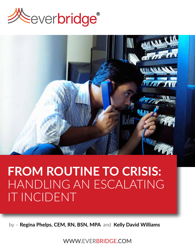



# **FROM ROUTINE TO CRISIS:** HANDLING AN ESCALATING IT INCIDENT

by – **Regina Phelps, CEM, RN, BSN, MPA** and **Kelly David Williams**

WWW.EVERBRIDGE.COM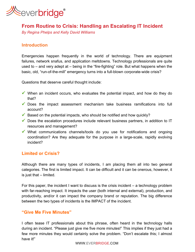

# **From Routine to Crisis: Handling an Escalating IT Incident**

*By Regina Phelps and Kelly David Williams*

## **Introduction**

Emergencies happen frequently in the world of technology. There are equipment failures, network snafus, and application meltdowns. Technology professionals are quite used to – and very adept at – being in the "fire-fighting" role. But what happens when the basic, old, "run-of-the-mill" emergency turns into a full-blown corporate-wide crisis?

Questions that deserve careful thought include:

- $\checkmark$  When an incident occurs, who evaluates the potential impact, and how do they do that?
- $\checkmark$  Does the impact assessment mechanism take business ramifications into full account?
- $\checkmark$  Based on the potential impacts, who should be notified and how quickly?
- $\checkmark$  Does the escalation procedures include relevant business partners, in addition to IT resources and management?
- $\checkmark$  What communications channels/tools do you use for notifications and ongoing coordination? Are they adequate for the purpose in a large-scale, rapidly evolving incident?

# **Limited or Crisis?**

Although there are many types of incidents, I am placing them all into two general categories. The first is limited impact. It can be difficult and it can be onerous, however, it is just that – limited.

For this paper, the incident I want to discuss is the crisis incident – a technology problem with far-reaching impact. It impacts the user (both internal and external), production, and productivity, and/or it can impact the company brand or reputation. The big difference between the two types of incidents is the IMPACT of the incident.

#### **"Give Me Five Minutes"**

I often tease IT professionals about this phrase, often heard in the technology halls during an incident. "Please just give me five more minutes!" This implies if they just had a few more minutes they would certainly solve the problem. "Don't escalate this; I almost have it!"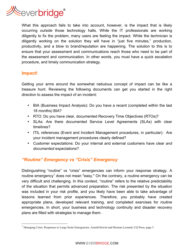

What this approach fails to take into account, however, is the impact that is likely occurring *outside* those technology halls. While the IT professionals are working diligently to fix the problem, many users are feeling the impact. While the technician is diligently working on the solution they will have in "just five minutes," production, productivity, and a blow to brand/reputation are happening. The solution to this is to ensure that your assessment and communications reach those who need to be part of the assessment and communication. In other words, you must have a quick escalation procedure, and timely communication strategy.

#### **Impact!**

Getting your arms around the somewhat nebulous concept of impact can be like a treasure hunt. Reviewing the following documents can get you started in the right direction to assess the impact of an incident:

- BIA (Business Impact Analysis): Do you have a recent (completed within the last 18 months) BIA?
- RTO: Do you have clear, documented Recovery Time Objectives (RTOs)?
- SLAs: Are there documented Service Level Agreements (SLAs) with clear timelines?
- ITIL references (Event and Incident Management procedures, in particular): Are your incident management procedures clearly defined?
- Customer expectations: Do your internal and external customers have clear *and documented* expectations?

# *"Routine" Emergency vs "Crisis" Emergency*

Distinguishing "routine" vs "crisis" emergencies can inform your response strategy. A routine emergency<sup>1</sup> does not mean "easy." On the contrary, a routine emergency can be very difficult and challenging. In this context, "routine" refers to the relative predictability of the situation that permits advanced preparation. The risk presented by the situation was included in your risk profile, and you likely have been able to take advantage of lessons learned from prior experiences. Therefore, you probably have created appropriate plans, developed relevant training, and completed exercises for routine emergencies. In short, your business and technology continuity and disaster recovery plans are filled with strategies to manage them.

<sup>&</sup>lt;sup>1</sup> Managing Crisis: Responses to Large-Scale Emergencies, Arnold Howitt and Herman Leonard, CQ Press, page 5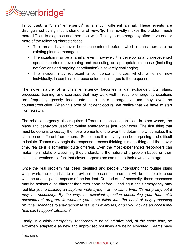

In contrast, a "crisis" emergency<sup>2</sup> is a much different animal. These events are distinguished by significant elements of *novelty*. This novelty makes the problem much more difficult to diagnose and then deal with. This type of emergency often have one or more of the following characteristics:

- The threats have never been encountered before, which means there are no existing plans to manage it.
- The situation may be a familiar event, however, it is developing at unprecedented speed; therefore, developing and executing an appropriate response (including notifications and ongoing coordination) is severely challenging.
- The incident may represent a confluence of forces, which, while not new individually, in combination, pose unique challenges to the response.

The novel nature of a crisis emergency becomes a game-changer. Our plans, processes, training, and exercises that may work well in routine emergency situations are frequently grossly inadequate in a crisis emergency, and may even be counterproductive. When this type of incident occurs, we realize that we have to start from scratch.

The crisis emergency also requires different response capabilities; in other words, the plans and behaviors used for routine emergencies just won't work. The first thing that must be done is to *identify* the novel elements of the event, to determine what makes this situation so different from others. Sometimes this novelty can be surprising and difficult to isolate. Teams may begin the response process thinking it is one thing and then, over time, realize it is something quite different. Even the most experienced responders can make the mistake of assuming they understand the nature of a problem based on their initial observations – a fact that clever perpetrators can use to their own advantage.

Once the real problem has been identified and people understand that routine plans won't work, the team has to improvise response measures that will be suitable to cope with the unanticipated aspects of the incident. Created out of necessity, these responses may be actions quite different than ever done before. Handling a crisis emergency may feel like you're *building* an *airplane while flying it at the same time. It's not pretty, but it may be necessary. By the way, an excellent question concerning your team skill development program is whether you have fallen into the habit of only presenting "routine" scenarios to your response teams in exercises, or do you include an occasional "this can't happen" situation?*

Lastly, in a crisis emergency, responses must be creative and, *at the same time*, be extremely adaptable as new and improvised solutions are being executed. Teams have

 $2$  Ibid, page 6.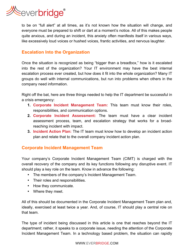

to be on "full alert" at all times, as it's not known how the situation will change, and everyone must be prepared to shift or dart at a moment's notice. All of this makes people quite anxious, and during an incident, this anxiety often manifests itself in various ways, like excessively loud voices or hushed voices, frantic activities, and nervous laughter.

## **Escalation Into the Organization**

Once the situation is recognized as being "bigger than a breadbox," how is it escalated into the rest of the organization? Your IT environment may have the best internal escalation process ever created, but how does it fit into the whole organization? Many IT groups do well with internal communications, but run into problems when others in the company need information.

Right off the bat, here are three things needed to help the IT department be successful in a crisis emergency:

- **1. Corporate Incident Management Team:** This team must know their roles, responsibilities, and communication options.
- **2. Corporate Incident Assessment:** The team must have a clear incident assessment process, team, and escalation strategy that works for a broadreaching incident with impact.
- **3. Incident Action Plan:** The IT team must know how to develop an incident action plan and relate that to the overall company incident action plan.

#### **Corporate Incident Management Team**

Your company's Corporate Incident Management Team (CIMT) is charged with the overall recovery of the company and its key functions following any disruptive event. IT should play a key role on the team. Know in advance the following:

- The members of the company's Incident Management Team.
- Their roles and responsibilities.
- How they communicate.
- Where they meet.

All of this should be documented in the Corporate Incident Management Team plan and, ideally, exercised at least twice a year. And, of course, IT should play a central role on that team.

The type of incident being discussed in this article is one that reaches beyond the IT department; rather, it speaks to a corporate issue, needing the attention of the Corporate Incident Management Team. In a technology based problem, the situation can rapidly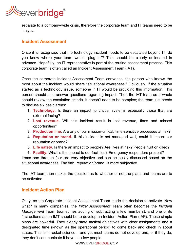

escalate to a company-wide crisis, therefore the corporate team and IT teams need to be in sync.

#### **Incident Assessment**

Once it is recognized that the technology incident needs to be escalated beyond IT, do you know where your team would "plug in"? This should be clearly delineated in advance. Hopefully, an IT representative is part of the routine assessment process. This corporate team is often called an Incident Assessment Team (IAT).

Once the corporate Incident Assessment Team convenes, the person who knows the most about the incident would share "situational awareness." Obviously, if the situation started as a technology issue, someone in IT would be providing this information. This person should also answer questions regarding impact. Then the IAT team as a whole should review the escalation criteria. It doesn't need to be complex; the team just needs to discuss six basic areas:

- **1. Technology.** Is there an impact to critical systems especially those that are external facing?
- **2. Lost revenue.** Will this incident result in lost revenue, fines and missed opportunities?
- **3. Production line.** Are any of our mission-critical, time-sensitive processes at risk?
- **4. Reputation or brand.** If this incident is not managed well, could it impact our reputation or brand?
- **5. Life safety.** Is there an impact to people? Are lives at risk? People hurt or killed?
- **6. Facility.** What is the impact to our facilities? Emergency responders present?

Items one through four are very objective and can be easily discussed based on the situational awareness. The fifth, reputation/brand, is more subjective.

The IAT team then makes the decision as to whether or not the plans and teams are to be activated.

#### **Incident Action Plan**

Okay, so the Corporate Incident Assessment Team made the decision to activate. Now what? In many companies, the *Initial Assessment* Team often becomes the *Incident Management* Team (sometimes adding or subtracting a few members), and one of its first actions as an IMT should be to develop an Incident Action Plan (IAP). These simple plans are powerful. They clearly state tactical objectives with clear assignments and a designated time (known as the operational period) to come back and check in about status. This isn't rocket science – and yet most teams do not develop one, or if they do, they don't communicate it beyond a few people.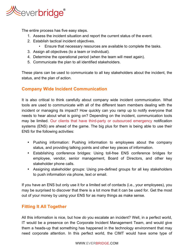

The entire process has five easy steps.

- 1. Assess the incident situation and report the current status of the event.
- 2. Establish tactical incident objectives.
	- Ensure that necessary resources are available to complete the tasks.
- 3. Assign all objectives (to a team or individual).
- 4. Determine the operational period (when the team will meet again).
- 5. Communicate the plan to all identified stakeholders.

These plans can be used to communicate to all key stakeholders about the incident, the status, and the plan of action.

## **Company Wide Incident Communication**

It is also critical to think carefully about company wide incident communication. What tools are used to communicate with all of the different team members dealing with the incident or managing its impact? How quickly can you ramp up to notify everyone that needs to hear about what is going on? Depending on the incident, communication tools may be limited. Our clients that have third-party or outsourced emergency notification systems (ENS) are ahead of the game. The big plus for them is being able to use their ENS for the following activities:

- Pushing information: Pushing information to employees about the company status, and providing talking points and other key pieces of information.
- Establishing conference bridges: Using toll-free ENS conference bridges for employee, vendor, senior management, Board of Directors, and other key stakeholder phone calls.
- Assigning stakeholder groups: Using pre-defined groups for all key stakeholders to push information via phone, text or email.

If you have an ENS but only use it for a limited set of contacts (i.e., your employees), you may be surprised to discover that there is a lot more that it can be used for. Get the most out of your money by using your ENS for as many things as make sense.

# **Fitting It All Together**

All this information is nice, but how *do* you escalate an incident? Well, in a perfect world, IT would be a presence on the Corporate Incident Management Team, and would give them a heads-up that something has happened in the technology environment that may need corporate attention. In this perfect world, the CIMT would have some type of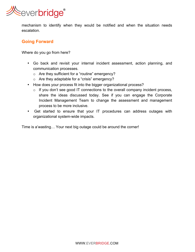

mechanism to identify when they would be notified and when the situation needs escalation.

# **Going Forward**

Where do you go from here?

- Go back and revisit your internal incident assessment, action planning, and communication processes.
	- o Are they sufficient for a "routine" emergency?
	- o Are they adaptable for a "crisis" emergency?
- How does your process fit into the bigger organizational process?
	- $\circ$  If you don't see good IT connections to the overall company incident process, share the ideas discussed today. See if you can engage the Corporate Incident Management Team to change the assessment and management process to be more inclusive.
- Get started to ensure that your IT procedures can address outages with organizational system-wide impacts.

Time is a'wasting… Your next big outage could be around the corner!